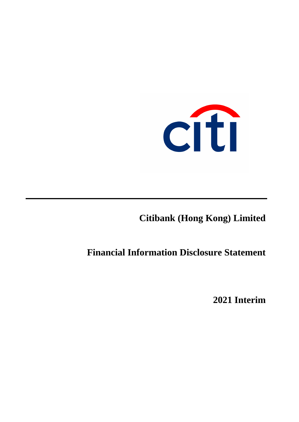

**Citibank (Hong Kong) Limited**

# **Financial Information Disclosure Statement**

**2021 Interim**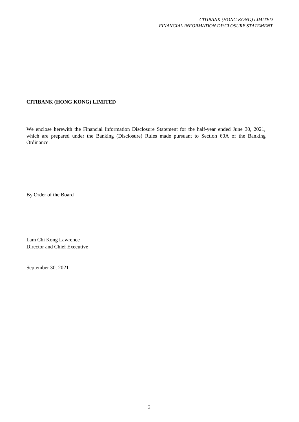# **CITIBANK (HONG KONG) LIMITED**

We enclose herewith the Financial Information Disclosure Statement for the half-year ended June 30, 2021, which are prepared under the Banking (Disclosure) Rules made pursuant to Section 60A of the Banking Ordinance.

By Order of the Board

Lam Chi Kong Lawrence Director and Chief Executive

September 30, 2021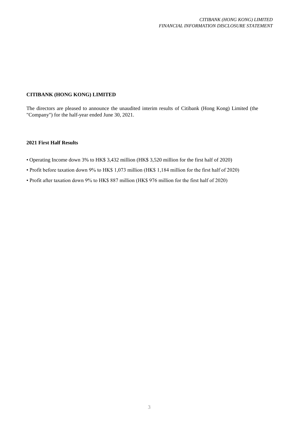# **CITIBANK (HONG KONG) LIMITED**

The directors are pleased to announce the unaudited interim results of Citibank (Hong Kong) Limited (the "Company") for the half-year ended June 30, 2021.

# **2021 First Half Results**

- Operating Income down 3% to HK\$ 3,432 million (HK\$ 3,520 million for the first half of 2020)
- Profit before taxation down 9% to HK\$ 1,073 million (HK\$ 1,184 million for the first half of 2020)
- Profit after taxation down 9% to HK\$ 887 million (HK\$ 976 million for the first half of 2020)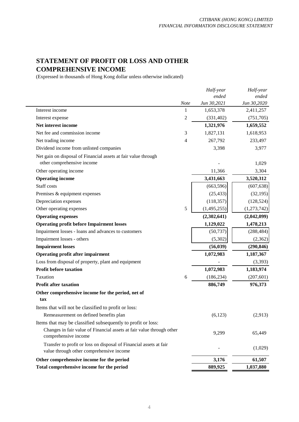# **STATEMENT OF PROFIT OR LOSS AND OTHER COMPREHENSIVE INCOME**

(Expressed in thousands of Hong Kong dollar unless otherwise indicated)

|                                                                                                                |                | Half-year   | Half-year   |
|----------------------------------------------------------------------------------------------------------------|----------------|-------------|-------------|
|                                                                                                                |                | ended       | ended       |
|                                                                                                                | <b>Note</b>    | Jun 30,2021 | Jun 30,2020 |
| Interest income                                                                                                | $\mathbf{1}$   | 1,653,378   | 2,411,257   |
| Interest expense                                                                                               | $\overline{c}$ | (331, 402)  | (751, 705)  |
| Net interest income                                                                                            |                | 1,321,976   | 1,659,552   |
| Net fee and commission income                                                                                  | 3              | 1,827,131   | 1,618,953   |
| Net trading income                                                                                             | 4              | 267,792     | 233,497     |
| Dividend income from unlisted companies                                                                        |                | 3,398       | 3,977       |
| Net gain on disposal of Financial assets at fair value through<br>other comprehensive income                   |                |             | 1,029       |
| Other operating income                                                                                         |                | 11,366      | 3,304       |
| <b>Operating income</b>                                                                                        |                | 3,431,663   | 3,520,312   |
| Staff costs                                                                                                    |                | (663, 596)  | (607, 638)  |
| Premises & equipment expenses                                                                                  |                | (25, 433)   | (32, 195)   |
| Depreciation expenses                                                                                          |                | (118, 357)  | (128, 524)  |
| Other operating expenses                                                                                       | 5              | (1,495,255) | (1,273,742) |
| <b>Operating expenses</b>                                                                                      |                | (2,302,641) | (2,042,099) |
| <b>Operating profit before Impairment losses</b>                                                               |                | 1,129,022   | 1,478,213   |
| Impairment losses - loans and advances to customers                                                            |                | (50, 737)   | (288, 484)  |
| Impairment losses - others                                                                                     |                | (5,302)     | (2,362)     |
| <b>Impairment losses</b>                                                                                       |                | (56, 039)   | (290, 846)  |
| <b>Operating profit after impairment</b>                                                                       |                | 1,072,983   | 1,187,367   |
| Loss from disposal of property, plant and equipment                                                            |                |             | (3,393)     |
| Profit before taxation                                                                                         |                | 1,072,983   | 1,183,974   |
| Taxation                                                                                                       | 6              | (186, 234)  | (207, 601)  |
| <b>Profit after taxation</b>                                                                                   |                | 886,749     | 976,373     |
| Other comprehensive income for the period, net of                                                              |                |             |             |
| tax                                                                                                            |                |             |             |
| Items that will not be classified to profit or loss:                                                           |                |             |             |
| Remeasurement on defined benefits plan                                                                         |                | (6,123)     | (2,913)     |
| Items that may be classified subsequently to profit or loss:                                                   |                |             |             |
| Changes in fair value of Financial assets at fair value through other<br>comprehensive income                  |                | 9,299       | 65,449      |
| Transfer to profit or loss on disposal of Financial assets at fair<br>value through other comprehensive income |                |             | (1,029)     |
| Other comprehensive income for the period                                                                      |                | 3,176       | 61,507      |
| Total comprehensive income for the period                                                                      |                | 889,925     | 1,037,880   |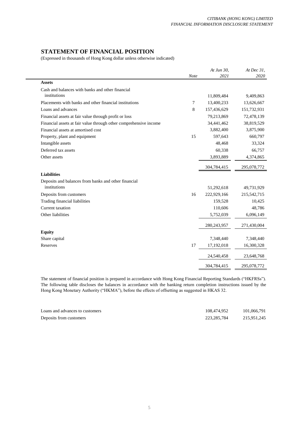# **STATEMENT OF FINANCIAL POSITION**

(Expressed in thousands of Hong Kong dollar unless otherwise indicated)

|                                                                   |      | At Jun 30,  | At Dec 31,  |
|-------------------------------------------------------------------|------|-------------|-------------|
|                                                                   | Note | 2021        | 2020        |
| <b>Assets</b>                                                     |      |             |             |
| Cash and balances with banks and other financial                  |      |             |             |
| institutions                                                      |      | 11,809,484  | 9,409,863   |
| Placements with banks and other financial institutions            | 7    | 13,400,233  | 13,626,667  |
| Loans and advances                                                | 8    | 157,436,629 | 151,732,931 |
| Financial assets at fair value through profit or loss             |      | 79,213,869  | 72,478,139  |
| Financial assets at fair value through other comprehensive income |      | 34,441,462  | 38,819,529  |
| Financial assets at amortised cost                                |      | 3,882,400   | 3,875,900   |
| Property, plant and equipment                                     | 15   | 597,643     | 660,797     |
| Intangible assets                                                 |      | 48,468      | 33,324      |
| Deferred tax assets                                               |      | 60,338      | 66,757      |
| Other assets                                                      |      | 3,893,889   | 4,374,865   |
|                                                                   |      | 304,784,415 | 295,078,772 |
| <b>Liabilities</b>                                                |      |             |             |
| Deposits and balances from banks and other financial              |      |             |             |
| institutions                                                      |      | 51,292,618  | 49,731,929  |
| Deposits from customers                                           | 16   | 222,929,166 | 215,542,715 |
| Trading financial liabilities                                     |      | 159,528     | 10,425      |
| Current taxation                                                  |      | 110,606     | 48,786      |
| Other liabilities                                                 |      | 5,752,039   | 6,096,149   |
|                                                                   |      | 280,243,957 | 271,430,004 |
| <b>Equity</b>                                                     |      |             |             |
| Share capital                                                     |      | 7,348,440   | 7,348,440   |
| Reserves                                                          | 17   | 17,192,018  | 16,300,328  |
|                                                                   |      | 24,540,458  | 23,648,768  |
|                                                                   |      | 304,784,415 | 295,078,772 |

The statement of financial position is prepared in accordance with Hong Kong Financial Reporting Standards ("HKFRSs"). The following table discloses the balances in accordance with the banking return completion instructions issued by the Hong Kong Monetary Authority ("HKMA"), before the effects of offsetting as suggested in HKAS 32.

| Loans and advances to customers | 108.474.952   | 101,066,791 |
|---------------------------------|---------------|-------------|
| Deposits from customers         | 223, 285, 784 | 215.951.245 |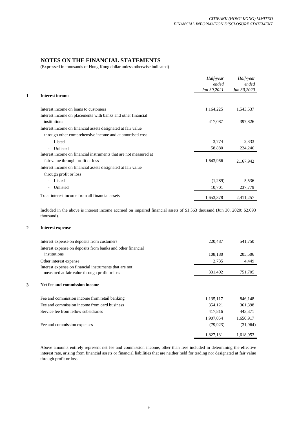# **NOTES ON THE FINANCIAL STATEMENTS**

(Expressed in thousands of Hong Kong dollar unless otherwise indicated)

|   |                                                                   | Half-year<br>ended | Half-year<br>ended |
|---|-------------------------------------------------------------------|--------------------|--------------------|
|   |                                                                   | Jun 30,2021        | Jun 30,2020        |
| 1 | <b>Interest income</b>                                            |                    |                    |
|   | Interest income on loans to customers                             | 1,164,225          | 1,543,537          |
|   | Interest income on placements with banks and other financial      |                    |                    |
|   | institutions                                                      | 417,087            | 397,826            |
|   | Interest income on financial assets designated at fair value      |                    |                    |
|   | through other comprehensive income and at amortised cost          |                    |                    |
|   | Listed                                                            | 3,774              | 2,333              |
|   | Unlisted                                                          | 58,880             | 224,246            |
|   | Interest income on financial instruments that are not measured at |                    |                    |
|   | fair value through profit or loss                                 | 1,643,966          | 2,167,942          |
|   | Interest income on financial assets designated at fair value      |                    |                    |
|   | through profit or loss                                            |                    |                    |
|   | Listed                                                            | (1,289)            | 5,536              |
|   | Unlisted<br>$\sim$                                                | 10,701             | 237,779            |
|   | Total interest income from all financial assets                   | 1,653,378          | 2,411,257          |

Included in the above is interest income accrued on impaired financial assets of \$1,563 thousand (Jun 30, 2020: \$2,093 thousand).

#### **2 Interest expense**

|   | Interest expense on deposits from customers                                                             | 220,487   | 541,750   |
|---|---------------------------------------------------------------------------------------------------------|-----------|-----------|
|   | Interest expense on deposits from banks and other financial<br>institutions                             | 108,180   | 205,506   |
|   | Other interest expense                                                                                  | 2,735     | 4,449     |
|   | Interest expense on financial instruments that are not<br>measured at fair value through profit or loss | 331,402   | 751,705   |
| 3 | Net fee and commission income                                                                           |           |           |
|   | Fee and commission income from retail banking                                                           | 1,135,117 | 846,148   |
|   | Fee and commission income from card business                                                            | 354,121   | 361,398   |
|   | Service fee from fellow subsidiaries                                                                    | 417,816   | 443,371   |
|   |                                                                                                         | 1,907,054 | 1,650,917 |
|   | Fee and commission expenses                                                                             | (79, 923) | (31, 964) |
|   |                                                                                                         | 1,827,131 | 1,618,953 |

Above amounts entirely represent net fee and commission income, other than fees included in determining the effective interest rate, arising from financial assets or financial liabilities that are neither held for trading nor designated at fair value through profit or loss.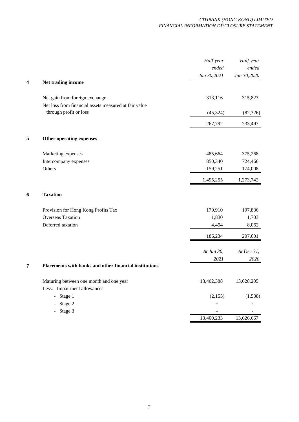| ended<br>Jun 30,2021<br>Jun 30,2020<br>$\overline{\mathbf{4}}$<br>Net trading income<br>Net gain from foreign exchange<br>313,116<br>315,823<br>Net loss from financial assets measured at fair value<br>through profit or loss<br>(45, 324)<br>267,792<br>233,497<br>5<br>Other operating expenses<br>Marketing expenses<br>485,664<br>375,268<br>850,340<br>724,466<br>Intercompany expenses<br>Others<br>159,251<br>174,008<br>1,495,255<br>1,273,742<br><b>Taxation</b><br>6<br>179,910<br>197,836<br>Provision for Hong Kong Profits Tax<br><b>Overseas Taxation</b><br>1,830<br>1,703<br>Deferred taxation<br>4,494<br>8,062<br>186,234<br>207,601<br>At Jun 30,<br>At Dec 31,<br>2021<br>7<br>Placements with banks and other financial institutions<br>Maturing between one month and one year<br>13,402,388<br>13,628,205<br>Less: Impairment allowances<br>- Stage 1<br>(2, 155)<br>- Stage 2<br>Stage 3<br>13,400,233<br>13,626,667 |  | Half-year | Half-year |
|------------------------------------------------------------------------------------------------------------------------------------------------------------------------------------------------------------------------------------------------------------------------------------------------------------------------------------------------------------------------------------------------------------------------------------------------------------------------------------------------------------------------------------------------------------------------------------------------------------------------------------------------------------------------------------------------------------------------------------------------------------------------------------------------------------------------------------------------------------------------------------------------------------------------------------------------|--|-----------|-----------|
|                                                                                                                                                                                                                                                                                                                                                                                                                                                                                                                                                                                                                                                                                                                                                                                                                                                                                                                                                |  |           | ended     |
|                                                                                                                                                                                                                                                                                                                                                                                                                                                                                                                                                                                                                                                                                                                                                                                                                                                                                                                                                |  |           |           |
|                                                                                                                                                                                                                                                                                                                                                                                                                                                                                                                                                                                                                                                                                                                                                                                                                                                                                                                                                |  |           |           |
|                                                                                                                                                                                                                                                                                                                                                                                                                                                                                                                                                                                                                                                                                                                                                                                                                                                                                                                                                |  |           |           |
|                                                                                                                                                                                                                                                                                                                                                                                                                                                                                                                                                                                                                                                                                                                                                                                                                                                                                                                                                |  |           |           |
|                                                                                                                                                                                                                                                                                                                                                                                                                                                                                                                                                                                                                                                                                                                                                                                                                                                                                                                                                |  |           | (82, 326) |
|                                                                                                                                                                                                                                                                                                                                                                                                                                                                                                                                                                                                                                                                                                                                                                                                                                                                                                                                                |  |           |           |
|                                                                                                                                                                                                                                                                                                                                                                                                                                                                                                                                                                                                                                                                                                                                                                                                                                                                                                                                                |  |           |           |
|                                                                                                                                                                                                                                                                                                                                                                                                                                                                                                                                                                                                                                                                                                                                                                                                                                                                                                                                                |  |           |           |
|                                                                                                                                                                                                                                                                                                                                                                                                                                                                                                                                                                                                                                                                                                                                                                                                                                                                                                                                                |  |           |           |
|                                                                                                                                                                                                                                                                                                                                                                                                                                                                                                                                                                                                                                                                                                                                                                                                                                                                                                                                                |  |           |           |
|                                                                                                                                                                                                                                                                                                                                                                                                                                                                                                                                                                                                                                                                                                                                                                                                                                                                                                                                                |  |           |           |
|                                                                                                                                                                                                                                                                                                                                                                                                                                                                                                                                                                                                                                                                                                                                                                                                                                                                                                                                                |  |           |           |
|                                                                                                                                                                                                                                                                                                                                                                                                                                                                                                                                                                                                                                                                                                                                                                                                                                                                                                                                                |  |           |           |
|                                                                                                                                                                                                                                                                                                                                                                                                                                                                                                                                                                                                                                                                                                                                                                                                                                                                                                                                                |  |           |           |
|                                                                                                                                                                                                                                                                                                                                                                                                                                                                                                                                                                                                                                                                                                                                                                                                                                                                                                                                                |  |           |           |
|                                                                                                                                                                                                                                                                                                                                                                                                                                                                                                                                                                                                                                                                                                                                                                                                                                                                                                                                                |  |           |           |
|                                                                                                                                                                                                                                                                                                                                                                                                                                                                                                                                                                                                                                                                                                                                                                                                                                                                                                                                                |  |           |           |
|                                                                                                                                                                                                                                                                                                                                                                                                                                                                                                                                                                                                                                                                                                                                                                                                                                                                                                                                                |  |           | 2020      |
|                                                                                                                                                                                                                                                                                                                                                                                                                                                                                                                                                                                                                                                                                                                                                                                                                                                                                                                                                |  |           |           |
|                                                                                                                                                                                                                                                                                                                                                                                                                                                                                                                                                                                                                                                                                                                                                                                                                                                                                                                                                |  |           |           |
|                                                                                                                                                                                                                                                                                                                                                                                                                                                                                                                                                                                                                                                                                                                                                                                                                                                                                                                                                |  |           |           |
|                                                                                                                                                                                                                                                                                                                                                                                                                                                                                                                                                                                                                                                                                                                                                                                                                                                                                                                                                |  |           | (1,538)   |
|                                                                                                                                                                                                                                                                                                                                                                                                                                                                                                                                                                                                                                                                                                                                                                                                                                                                                                                                                |  |           |           |
|                                                                                                                                                                                                                                                                                                                                                                                                                                                                                                                                                                                                                                                                                                                                                                                                                                                                                                                                                |  |           |           |
|                                                                                                                                                                                                                                                                                                                                                                                                                                                                                                                                                                                                                                                                                                                                                                                                                                                                                                                                                |  |           |           |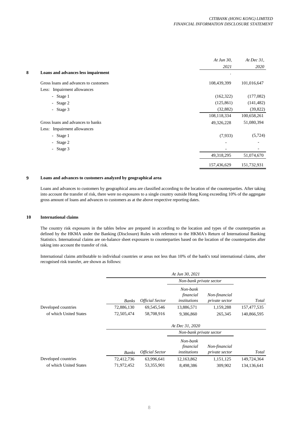|   |                                       | At Jun $30$ , | At Dec $31$ , |
|---|---------------------------------------|---------------|---------------|
|   |                                       | 2021          | 2020          |
| 8 | Loans and advances less impairment    |               |               |
|   | Gross loans and advances to customers | 108,439,399   | 101,016,647   |
|   | Less: Impairment allowances           |               |               |
|   | - Stage 1                             | (162, 322)    | (177,082)     |
|   | - Stage $2$                           | (125, 861)    | (141, 482)    |
|   | - Stage 3                             | (32, 882)     | (39, 822)     |
|   |                                       | 108,118,334   | 100,658,261   |
|   | Gross loans and advances to banks     | 49,326,228    | 51,080,394    |
|   | Less: Impairment allowances           |               |               |
|   | - Stage 1                             | (7,933)       | (5, 724)      |
|   | - Stage 2                             |               |               |
|   | - Stage 3                             |               |               |
|   |                                       | 49,318,295    | 51,074,670    |
|   |                                       | 157,436,629   | 151,732,931   |

## **9 Loans and advances to customers analyzed by geographical area**

Loans and advances to customers by geographical area are classified according to the location of the counterparties. After taking into account the transfer of risk, there were no exposures to a single country outside Hong Kong exceeding 10% of the aggregate gross amount of loans and advances to customers as at the above respective reporting dates.

#### **10 International claims**

The country risk exposures in the tables below are prepared in according to the location and types of the counterparties as defined by the HKMA under the Banking (Disclosure) Rules with reference to the HKMA's Return of International Banking Statistics. International claims are on-balance sheet exposures to counterparties based on the location of the counterparties after taking into account the transfer of risk.

International claims attributable to individual countries or areas not less than 10% of the bank's total international claims, after recognised risk transfer, are shown as follows:

|                        |              |                        | At Jun 30, 2021                       |                                        |             |
|------------------------|--------------|------------------------|---------------------------------------|----------------------------------------|-------------|
|                        |              |                        | Non-bank private sector               |                                        |             |
|                        | <b>Banks</b> | <b>Official Sector</b> | Non-bank<br>financial<br>institutions | Non-financial<br><i>private sector</i> | Total       |
| Developed countries    | 72,886,130   | 69,545,546             | 13,886,571                            | 1,159,288                              | 157,477,535 |
| of which United States | 72,505,474   | 58,708,916             | 9,386,860                             | 265,345                                | 140,866,595 |
|                        |              |                        | At Dec 31, 2020                       |                                        |             |
|                        |              |                        | Non-bank private sector               |                                        |             |
|                        | <b>Banks</b> | <b>Official Sector</b> | Non-bank<br>financial<br>institutions | Non-financial<br><i>private sector</i> | Total       |
| Developed countries    | 72,412,736   | 63,996,641             | 12,163,862                            | 1,151,125                              | 149,724,364 |
| of which United States | 71,972,452   | 53,355,901             | 8,498,386                             | 309.902                                | 134,136,641 |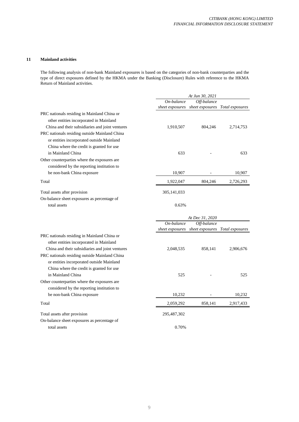#### **11 Mainland activities**

The following analysis of non-bank Mainland exposures is based on the categories of non-bank counterparties and the type of direct exposures defined by the HKMA under the Banking (Disclosure) Rules with reference to the HKMA Return of Mainland activities.

|                                                 |                 | At Jun 30, 2021                 |                 |
|-------------------------------------------------|-----------------|---------------------------------|-----------------|
|                                                 | On-balance      | Off-balance                     |                 |
|                                                 | sheet exposures | sheet exposures                 | Total exposures |
| PRC nationals residing in Mainland China or     |                 |                                 |                 |
| other entities incorporated in Mainland         |                 |                                 |                 |
| China and their subsidiaries and joint ventures | 1,910,507       | 804,246                         | 2,714,753       |
| PRC nationals residing outside Mainland China   |                 |                                 |                 |
| or entities incorporated outside Mainland       |                 |                                 |                 |
| China where the credit is granted for use       |                 |                                 |                 |
| in Mainland China                               | 633             |                                 | 633             |
| Other counterparties where the exposures are    |                 |                                 |                 |
| considered by the reporting institution to      |                 |                                 |                 |
| be non-bank China exposure                      | 10,907          |                                 | 10,907          |
| Total                                           | 1,922,047       | 804,246                         | 2,726,293       |
| Total assets after provision                    | 305, 141, 033   |                                 |                 |
| On-balance sheet exposures as percentage of     |                 |                                 |                 |
| total assets                                    | 0.63%           |                                 |                 |
|                                                 |                 |                                 |                 |
|                                                 |                 |                                 |                 |
|                                                 |                 | At Dec 31, 2020                 |                 |
|                                                 | On-balance      | Off-balance                     |                 |
|                                                 |                 | sheet exposures sheet exposures | Total exposures |
| PRC nationals residing in Mainland China or     |                 |                                 |                 |
| other entities incorporated in Mainland         |                 |                                 |                 |
| China and their subsidiaries and joint ventures | 2,048,535       | 858,141                         | 2,906,676       |
| PRC nationals residing outside Mainland China   |                 |                                 |                 |
| or entities incorporated outside Mainland       |                 |                                 |                 |
| China where the credit is granted for use       |                 |                                 |                 |
| in Mainland China                               | 525             |                                 | 525             |
| Other counterparties where the exposures are    |                 |                                 |                 |
| considered by the reporting institution to      |                 |                                 |                 |
| be non-bank China exposure                      | 10,232          |                                 | 10,232          |
| Total                                           | 2,059,292       | 858,141                         | 2,917,433       |
| Total assets after provision                    | 295,487,302     |                                 |                 |
| On-balance sheet exposures as percentage of     |                 |                                 |                 |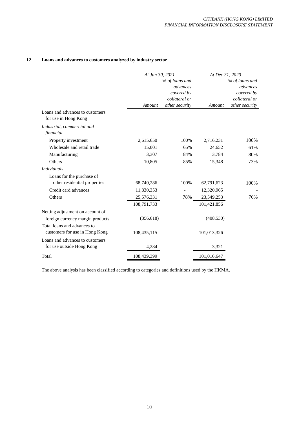# **12 Loans and advances to customers analyzed by industry sector**

|                                                               | At Jun 30, 2021 |                | At Dec 31, 2020 |                |
|---------------------------------------------------------------|-----------------|----------------|-----------------|----------------|
|                                                               |                 | % of loans and |                 | % of loans and |
|                                                               |                 | advances       |                 | advances       |
|                                                               |                 | covered by     |                 | covered by     |
|                                                               |                 | collateral or  |                 | collateral or  |
|                                                               | Amount          | other security | Amount          | other security |
| Loans and advances to customers<br>for use in Hong Kong       |                 |                |                 |                |
| Industrial, commercial and<br>financial                       |                 |                |                 |                |
| Property investment                                           | 2,615,650       | 100%           | 2,716,231       | 100%           |
| Wholesale and retail trade                                    | 15,001          | 65%            | 24,652          | 61%            |
| Manufacturing                                                 | 3,307           | 84%            | 3,784           | 80%            |
| Others                                                        | 10,805          | 85%            | 15,348          | 73%            |
| <b>Individuals</b>                                            |                 |                |                 |                |
| Loans for the purchase of                                     |                 |                |                 |                |
| other residential properties                                  | 68,740,286      | 100%           | 62,791,623      | 100%           |
| Credit card advances                                          | 11,830,353      |                | 12,320,965      |                |
| Others                                                        | 25,576,331      | 78%            | 23,549,253      | 76%            |
|                                                               | 108,791,733     |                | 101,421,856     |                |
| Netting adjustment on account of                              |                 |                |                 |                |
| foreign currency margin products                              | (356, 618)      |                | (408, 530)      |                |
| Total loans and advances to<br>customers for use in Hong Kong | 108,435,115     |                | 101,013,326     |                |
| Loans and advances to customers                               |                 |                |                 |                |
| for use outside Hong Kong                                     | 4,284           |                | 3,321           |                |
| Total                                                         | 108,439,399     |                | 101,016,647     |                |

The above analysis has been classified according to categories and definitions used by the HKMA.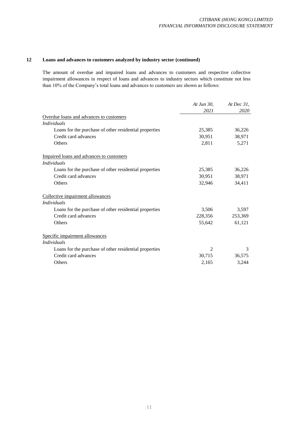# **12 Loans and advances to customers analyzed by industry sector (continued)**

The amount of overdue and impaired loans and advances to customers and respective collective impairment allowances in respect of loans and advances to industry sectors which constitute not less than 10% of the Company's total loans and advances to customers are shown as follows:

|                                                        | At Jun 30.    | At Dec $31$ , |
|--------------------------------------------------------|---------------|---------------|
|                                                        | 2021          | 2020          |
| Overdue loans and advances to customers                |               |               |
| <i>Individuals</i>                                     |               |               |
| Loans for the purchase of other residential properties | 25,385        | 36,226        |
| Credit card advances                                   | 30,951        | 38,971        |
| Others                                                 | 2,811         | 5,271         |
| Impaired loans and advances to customers               |               |               |
| <i>Individuals</i>                                     |               |               |
| Loans for the purchase of other residential properties | 25,385        | 36,226        |
| Credit card advances                                   | 30,951        | 38,971        |
| Others                                                 | 32,946        | 34,411        |
| Collective impairment allowances                       |               |               |
| <i>Individuals</i>                                     |               |               |
| Loans for the purchase of other residential properties | 3,506         | 3,597         |
| Credit card advances                                   | 228,356       | 253,369       |
| Others                                                 | 55,642        | 61,121        |
| Specific impairment allowances                         |               |               |
| <i>Individuals</i>                                     |               |               |
| Loans for the purchase of other residential properties | $\mathcal{L}$ | 3             |
| Credit card advances                                   | 30,715        | 36,575        |
| Others                                                 | 2,165         | 3,244         |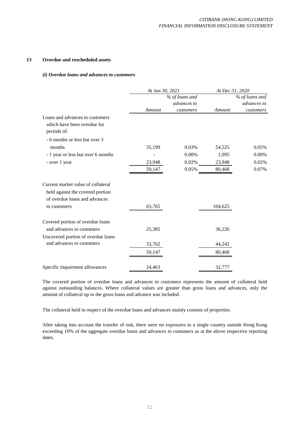#### **13 Overdue and rescheduled assets**

#### *(i) Overdue loans and advances to customers*

|                                    | At Jun 30, 2021 |                | At Dec 31, 2020 |                |
|------------------------------------|-----------------|----------------|-----------------|----------------|
|                                    |                 | % of loans and |                 | % of loans and |
|                                    |                 | advances to    |                 | advances to    |
|                                    | Amount          | customers      | Amount          | customers      |
| Loans and advances to customers    |                 |                |                 |                |
| which have been overdue for        |                 |                |                 |                |
| periods of:                        |                 |                |                 |                |
| - 6 months or less but over 3      |                 |                |                 |                |
| months                             | 35,199          | 0.03%          | 54,525          | 0.05%          |
| - 1 year or less but over 6 months |                 | 0.00%          | 1,995           | 0.00%          |
| - over 1 year                      | 23,948          | 0.02%          | 23,948          | 0.02%          |
|                                    | 59,147          | 0.05%          | 80,468          | 0.07%          |
| Current market value of collateral |                 |                |                 |                |
| held against the covered portion   |                 |                |                 |                |
| of overdue loans and advances      |                 |                |                 |                |
| to customers                       | 63,765          |                | 104,625         |                |
| Covered portion of overdue loans   |                 |                |                 |                |
| and advances to customers          | 25,385          |                | 36,226          |                |
| Uncovered portion of overdue loans |                 |                |                 |                |
| and advances to customers          | 33,762          |                | 44,242          |                |
|                                    | 59,147          |                | 80,468          |                |
| Specific impairment allowances     | 24,463          |                | 32,777          |                |

The covered portion of overdue loans and advances to customers represents the amount of collateral held against outstanding balances. Where collateral values are greater than gross loans and advances, only the amount of collateral up to the gross loans and advance was included.

The collateral held in respect of the overdue loans and advances mainly consists of properties.

After taking into account the transfer of risk, there were no exposures to a single country outside Hong Kong exceeding 10% of the aggregate overdue loans and advances to customers as at the above respective reporting dates.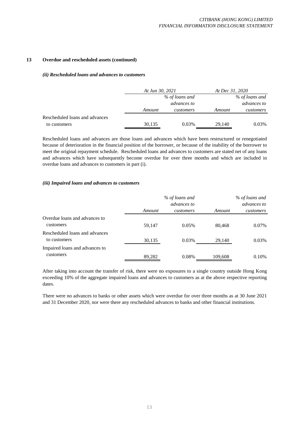#### **13 Overdue and rescheduled assets (continued)**

#### *(ii) Rescheduled loans and advances to customers*

|                                | At Jun 30, 2021 |             | At Dec 31, 2020 |                |
|--------------------------------|-----------------|-------------|-----------------|----------------|
|                                | % of loans and  |             |                 | % of loans and |
|                                |                 | advances to |                 | advances to    |
|                                | Amount          | customers   | Amount          | customers      |
| Rescheduled loans and advances |                 |             |                 |                |
| to customers                   | 30,135          | 0.03%       | 29,140          | 0.03%          |

Rescheduled loans and advances are those loans and advances which have been restructured or renegotiated because of deterioration in the financial position of the borrower, or because of the inability of the borrower to meet the original repayment schedule. Rescheduled loans and advances to customers are stated net of any loans and advances which have subsequently become overdue for over three months and which are included in overdue loans and advances to customers in part (i).

#### *(iii) Impaired loans and advances to customers*

|                                                | % of loans and<br>advances to |           |         | % of loans and<br>advances to |
|------------------------------------------------|-------------------------------|-----------|---------|-------------------------------|
|                                                | Amount                        | customers | Amount  | customers                     |
| Overdue loans and advances to<br>customers     | 59,147                        | 0.05%     | 80,468  | $0.07\%$                      |
| Rescheduled loans and advances<br>to customers | 30,135                        | 0.03%     | 29,140  | 0.03%                         |
| Impaired loans and advances to<br>customers    | 89,282                        | 0.08%     | 109,608 | $0.10\%$                      |

After taking into account the transfer of risk, there were no exposures to a single country outside Hong Kong exceeding 10% of the aggregate impaired loans and advances to customers as at the above respective reporting dates.

There were no advances to banks or other assets which were overdue for over three months as at 30 June 2021 and 31 December 2020, nor were there any rescheduled advances to banks and other financial institutions.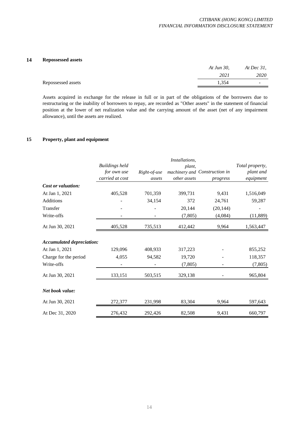# **14 Repossessed assets**

|                    | At Jun 30, | At Dec $31$ , |
|--------------------|------------|---------------|
|                    | 2021       | 2020          |
| Repossessed assets | .354       | -             |
|                    |            |               |

Assets acquired in exchange for the release in full or in part of the obligations of the borrowers due to restructuring or the inability of borrowers to repay, are recorded as "Other assets" in the statement of financial position at the lower of net realization value and the carrying amount of the asset (net of any impairment allowance), until the assets are realized.

# **15 Property, plant and equipment**

|                                  |                       |              | Installations, |                               |                 |
|----------------------------------|-----------------------|--------------|----------------|-------------------------------|-----------------|
|                                  | <b>Buildings held</b> |              | plant,         |                               | Total property, |
|                                  | for own use           | Right-of-use |                | machinery and Construction in | plant and       |
|                                  | carried at cost       | assets       | other assets   | progress                      | equipment       |
| Cost or valuation:               |                       |              |                |                               |                 |
| At Jan 1, 2021                   | 405,528               | 701,359      | 399,731        | 9,431                         | 1,516,049       |
| <b>Additions</b>                 |                       | 34,154       | 372            | 24,761                        | 59,287          |
| Transfer                         |                       |              | 20,144         | (20, 144)                     |                 |
| Write-offs                       |                       |              | (7, 805)       | (4,084)                       | (11,889)        |
| At Jun 30, 2021                  | 405,528               | 735,513      | 412,442        | 9,964                         | 1,563,447       |
| <b>Accumulated depreciation:</b> |                       |              |                |                               |                 |
| At Jan 1, 2021                   | 129,096               | 408,933      | 317,223        |                               | 855,252         |
| Charge for the period            | 4,055                 | 94,582       | 19,720         |                               | 118,357         |
| Write-offs                       |                       |              | (7, 805)       |                               | (7,805)         |
| At Jun 30, 2021                  | 133,151               | 503,515      | 329,138        |                               | 965,804         |
| Net book value:                  |                       |              |                |                               |                 |
| At Jun 30, 2021                  | 272,377               | 231,998      | 83,304         | 9,964                         | 597,643         |
| At Dec 31, 2020                  | 276,432               | 292,426      | 82,508         | 9,431                         | 660,797         |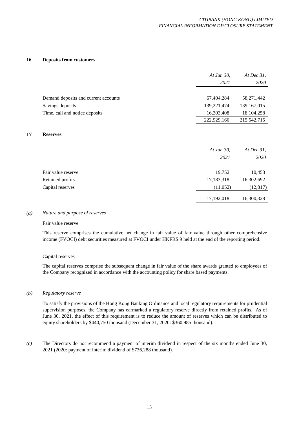#### **16 Deposits from customers**

|                                      | At Jun 30,<br>2021 | At Dec $31$ ,<br>2020 |
|--------------------------------------|--------------------|-----------------------|
|                                      |                    |                       |
| Demand deposits and current accounts | 67,404,284         | 58,271,442            |
| Savings deposits                     | 139, 221, 474      | 139, 167, 015         |
| Time, call and notice deposits       | 16,303,408         | 18, 104, 258          |
|                                      | 222,929,166        | 215,542,715           |

#### **17 Reserves**

|                    | At Jun 30,<br>2021 | At Dec $31$ ,<br>2020 |
|--------------------|--------------------|-----------------------|
| Fair value reserve | 19,752             | 10,453                |
| Retained profits   | 17,183,318         | 16,302,692            |
| Capital reserves   | (11,052)           | (12, 817)             |
|                    | 17,192,018         | 16,300,328            |

#### *(a) Nature and purpose of reserves*

#### Fair value reserve

This reserve comprises the cumulative net change in fair value of fair value through other comprehensive income (FVOCI) debt securities measured at FVOCI under HKFRS 9 held at the end of the reporting period.

#### Capital reserves

The capital reserves comprise the subsequent change in fair value of the share awards granted to employees of the Company recognized in accordance with the accounting policy for share based payments.

#### *(b) Regulatory reserve*

To satisfy the provisions of the Hong Kong Banking Ordinance and local regulatory requirements for prudential supervision purposes, the Company has earmarked a regulatory reserve directly from retained profits. As of June 30, 2021, the effect of this requirement is to reduce the amount of reserves which can be distributed to equity shareholders by \$440,750 thousand (December 31, 2020: \$360,985 thousand).

*(c)* The Directors do not recommend a payment of interim dividend in respect of the six months ended June 30, 2021 (2020: payment of interim dividend of \$736,288 thousand).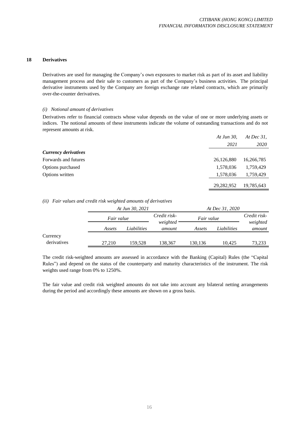#### **18 Derivatives**

Derivatives are used for managing the Company's own exposures to market risk as part of its asset and liability management process and their sale to customers as part of the Company's business activities. The principal derivative instruments used by the Company are foreign exchange rate related contracts, which are primarily over-the-counter derivatives.

## *(i) Notional amount of derivatives*

Derivatives refer to financial contracts whose value depends on the value of one or more underlying assets or indices. The notional amounts of these instruments indicate the volume of outstanding transactions and do not represent amounts at risk.

|                             | At Jun 30, | At Dec $31$ , |
|-----------------------------|------------|---------------|
|                             | 2021       | 2020          |
| <b>Currency derivatives</b> |            |               |
| Forwards and futures        | 26,126,880 | 16,266,785    |
| Options purchased           | 1,578,036  | 1,759,429     |
| Options written             | 1,578,036  | 1,759,429     |
|                             | 29,282,952 | 19,785,643    |

## *(ii) Fair values and credit risk weighted amounts of derivatives*

|             | At Jun 30, 2021   |             | At Dec 31, 2020          |            |             |                          |
|-------------|-------------------|-------------|--------------------------|------------|-------------|--------------------------|
|             | <i>Fair value</i> |             | Credit risk-<br>weighted | Fair value |             | Credit risk-<br>weighted |
|             | Assets            | Liabilities | amount                   | Assets     | Liabilities | amount                   |
| Currency    |                   |             |                          |            |             |                          |
| derivatives | 27.210            | 159.528     | 138.367                  | 130,136    | 10.425      | 73,233                   |

The credit risk-weighted amounts are assessed in accordance with the Banking (Capital) Rules (the "Capital Rules") and depend on the status of the counterparty and maturity characteristics of the instrument. The risk weights used range from 0% to 1250%.

The fair value and credit risk weighted amounts do not take into account any bilateral netting arrangements during the period and accordingly these amounts are shown on a gross basis.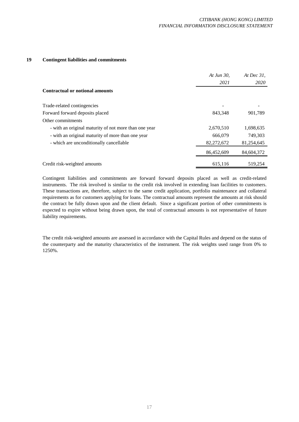# **19 Contingent liabilities and commitments**

|                                                       | At Jun 30,<br>2021 | At Dec $31$ ,<br>2020 |
|-------------------------------------------------------|--------------------|-----------------------|
| Contractual or notional amounts                       |                    |                       |
| Trade-related contingencies                           |                    |                       |
| Forward forward deposits placed                       | 843,348            | 901,789               |
| Other commitments                                     |                    |                       |
| - with an original maturity of not more than one year | 2,670,510          | 1,698,635             |
| - with an original maturity of more than one year     | 666,079            | 749,303               |
| - which are unconditionally cancellable               | 82,272,672         | 81,254,645            |
|                                                       | 86,452,609         | 84,604,372            |
| Credit risk-weighted amounts                          | 615,116            | 519,254               |

Contingent liabilities and commitments are forward forward deposits placed as well as credit-related instruments. The risk involved is similar to the credit risk involved in extending loan facilities to customers. These transactions are, therefore, subject to the same credit application, portfolio maintenance and collateral requirements as for customers applying for loans. The contractual amounts represent the amounts at risk should the contract be fully drawn upon and the client default. Since a significant portion of other commitments is expected to expire without being drawn upon, the total of contractual amounts is not representative of future liability requirements.

The credit risk-weighted amounts are assessed in accordance with the Capital Rules and depend on the status of the counterparty and the maturity characteristics of the instrument. The risk weights used range from 0% to 1250%.